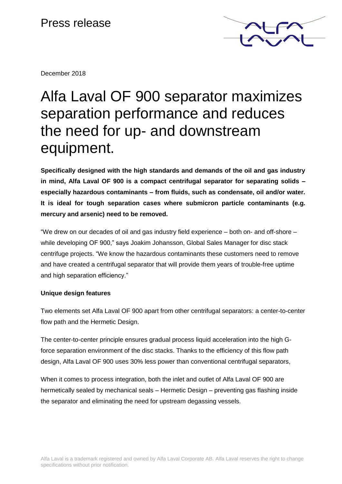# Press release



December 2018

# Alfa Laval OF 900 separator maximizes separation performance and reduces the need for up- and downstream equipment.

**Specifically designed with the high standards and demands of the oil and gas industry in mind, Alfa Laval OF 900 is a compact centrifugal separator for separating solids – especially hazardous contaminants – from fluids, such as condensate, oil and/or water. It is ideal for tough separation cases where submicron particle contaminants (e.g. mercury and arsenic) need to be removed.**

"We drew on our decades of oil and gas industry field experience – both on- and off-shore – while developing OF 900," says Joakim Johansson, Global Sales Manager for disc stack centrifuge projects. "We know the hazardous contaminants these customers need to remove and have created a centrifugal separator that will provide them years of trouble-free uptime and high separation efficiency."

## **Unique design features**

Two elements set Alfa Laval OF 900 apart from other centrifugal separators: a center-to-center flow path and the Hermetic Design.

The center-to-center principle ensures gradual process liquid acceleration into the high Gforce separation environment of the disc stacks. Thanks to the efficiency of this flow path design, Alfa Laval OF 900 uses 30% less power than conventional centrifugal separators,

When it comes to process integration, both the inlet and outlet of Alfa Laval OF 900 are hermetically sealed by mechanical seals – Hermetic Design – preventing gas flashing inside the separator and eliminating the need for upstream degassing vessels.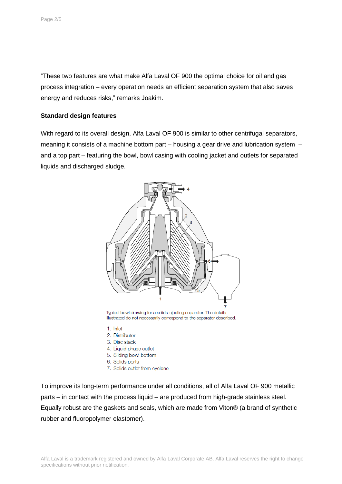"These two features are what make Alfa Laval OF 900 the optimal choice for oil and gas process integration – every operation needs an efficient separation system that also saves energy and reduces risks," remarks Joakim.

#### **Standard design features**

With regard to its overall design, Alfa Laval OF 900 is similar to other centrifugal separators, meaning it consists of a machine bottom part – housing a gear drive and lubrication system – and a top part – featuring the bowl, bowl casing with cooling jacket and outlets for separated liquids and discharged sludge.



Typical bowl drawing for a solids-ejecting separator. The details illustrated do not necessarily correspond to the separator described.

- 1. Inlet
- 2. Distributor
- 3. Disc stack
- 4. Liquid phase outlet
- 5. Sliding bowl bottom
- 6. Solids ports
- 7. Solids outlet from cyclone

To improve its long-term performance under all conditions, all of Alfa Laval OF 900 metallic parts – in contact with the process liquid – are produced from high-grade stainless steel. Equally robust are the gaskets and seals, which are made from Viton® (a brand of synthetic rubber and fluoropolymer elastomer).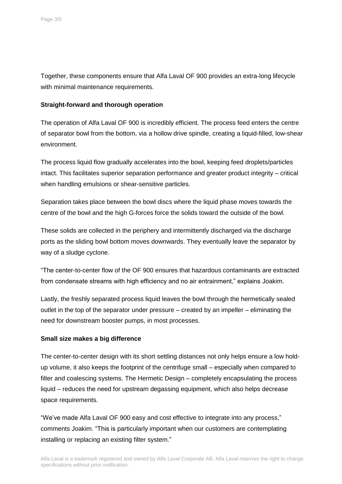Together, these components ensure that Alfa Laval OF 900 provides an extra-long lifecycle with minimal maintenance requirements.

#### **Straight-forward and thorough operation**

The operation of Alfa Laval OF 900 is incredibly efficient. The process feed enters the centre of separator bowl from the bottom, via a hollow drive spindle, creating a liquid-filled, low-shear environment.

The process liquid flow gradually accelerates into the bowl, keeping feed droplets/particles intact. This facilitates superior separation performance and greater product integrity – critical when handling emulsions or shear-sensitive particles.

Separation takes place between the bowl discs where the liquid phase moves towards the centre of the bowl and the high G-forces force the solids toward the outside of the bowl.

These solids are collected in the periphery and intermittently discharged via the discharge ports as the sliding bowl bottom moves downwards. They eventually leave the separator by way of a sludge cyclone.

"The center-to-center flow of the OF 900 ensures that hazardous contaminants are extracted from condensate streams with high efficiency and no air entrainment," explains Joakim.

Lastly, the freshly separated process liquid leaves the bowl through the hermetically sealed outlet in the top of the separator under pressure – created by an impeller – eliminating the need for downstream booster pumps, in most processes.

#### **Small size makes a big difference**

The center-to-center design with its short settling distances not only helps ensure a low holdup volume, it also keeps the footprint of the centrifuge small – especially when compared to filter and coalescing systems. The Hermetic Design – completely encapsulating the process liquid – reduces the need for upstream degassing equipment, which also helps decrease space requirements.

"We've made Alfa Laval OF 900 easy and cost effective to integrate into any process," comments Joakim. "This is particularly important when our customers are contemplating installing or replacing an existing filter system."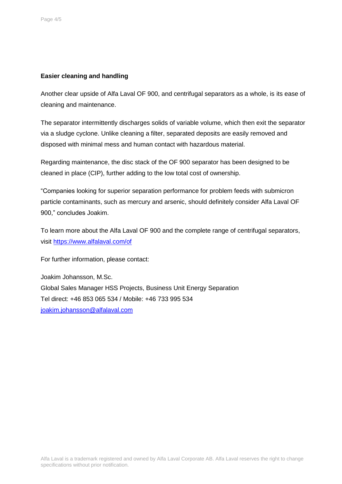### **Easier cleaning and handling**

Another clear upside of Alfa Laval OF 900, and centrifugal separators as a whole, is its ease of cleaning and maintenance.

The separator intermittently discharges solids of variable volume, which then exit the separator via a sludge cyclone. Unlike cleaning a filter, separated deposits are easily removed and disposed with minimal mess and human contact with hazardous material.

Regarding maintenance, the disc stack of the OF 900 separator has been designed to be cleaned in place (CIP), further adding to the low total cost of ownership.

"Companies looking for superior separation performance for problem feeds with submicron particle contaminants, such as mercury and arsenic, should definitely consider Alfa Laval OF 900," concludes Joakim.

To learn more about the Alfa Laval OF 900 and the complete range of centrifugal separators, visit<https://www.alfalaval.com/of>

For further information, please contact:

Joakim Johansson, M.Sc. Global Sales Manager HSS Projects, Business Unit Energy Separation Tel direct: +46 853 065 534 / Mobile: +46 733 995 534 [joakim.johansson@alfalaval.com](mailto:joakim.johansson@alfalaval.com)